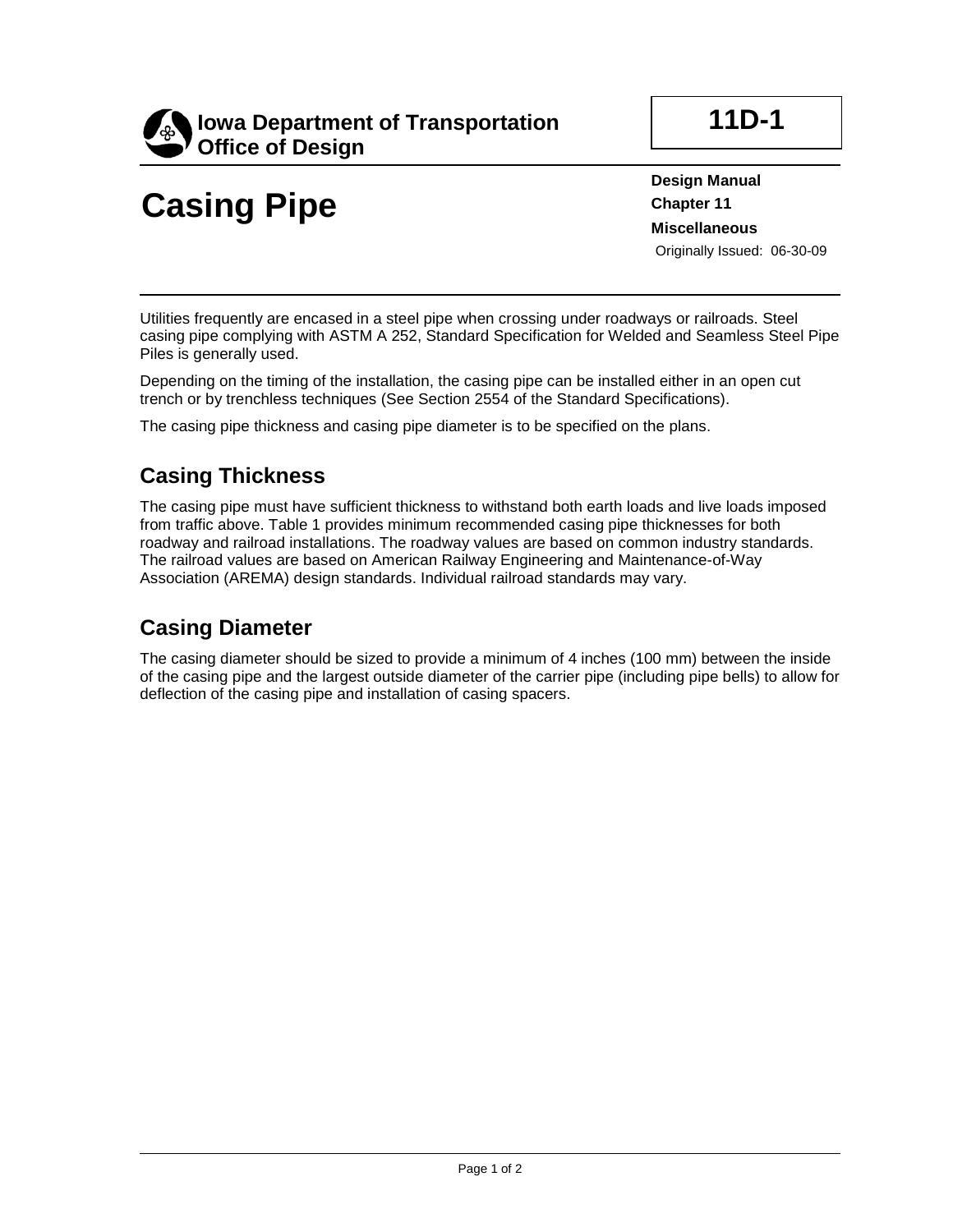

## **Casing Pipe**

**11D-1**

**Design Manual Chapter 11 Miscellaneous** Originally Issued: 06-30-09

Utilities frequently are encased in a steel pipe when crossing under roadways or railroads. Steel casing pipe complying with ASTM A 252, Standard Specification for Welded and Seamless Steel Pipe Piles is generally used.

Depending on the timing of the installation, the casing pipe can be installed either in an open cut trench or by trenchless techniques (See Section 2554 of the Standard Specifications).

The casing pipe thickness and casing pipe diameter is to be specified on the plans.

## **Casing Thickness**

The casing pipe must have sufficient thickness to withstand both earth loads and live loads imposed from traffic above. Table 1 provides minimum recommended casing pipe thicknesses for both roadway and railroad installations. The roadway values are based on common industry standards. The railroad values are based on American Railway Engineering and Maintenance-of-Way Association (AREMA) design standards. Individual railroad standards may vary.

## **Casing Diameter**

The casing diameter should be sized to provide a minimum of 4 inches (100 mm) between the inside of the casing pipe and the largest outside diameter of the carrier pipe (including pipe bells) to allow for deflection of the casing pipe and installation of casing spacers.